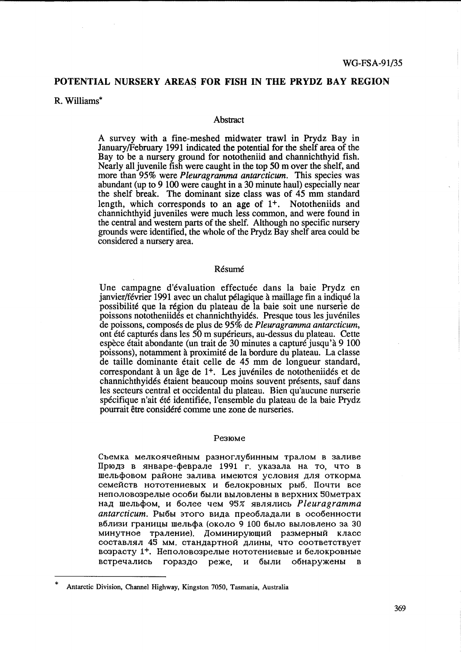# POTENTIAL NURSERY AREAS FOR FISH IN THE PRYDZ BAY REGION

R. Williams\*

#### Abstract

A survey with a fine-meshed midwater trawl in Prydz Bay in January/February 1991 indicated the potential for the shelf area of the Bay to be a nursery ground for nototheniid and channichthyid fish. Nearly all juvenile fish were caught in the top 50 m over the shelf, and more than 95% were *Pleuragramma antarcticum.* This species was abundant (up to 9 100 were caught in a 30 minute haul) especially near the shelf break. The dominant size class was of 45 mm standard length, which corresponds to an age of 1+. Nototheniids and channichthyid juveniles were much less common, and were found in the central and western parts of the shelf. Although no specific nursery grounds were identified, the whole of the Prydz Bay shelf area could be considered a nursery area.

#### Résumé

Une campagne d'évaluation effectuée dans la baie Prydz en janvier/février 1991 avec un chalut pélagique à maillage fin a indiqué la possibilite que la region du plateau de la baie soit une nurserie de poissons nototheniides et channichthyides. Presque tous les juveniles de poissons, composes de plus de 95% de *Pleuragramma antarcticum,*  ont ete captures dans les 50 m superieurs, au-dessus du plateau. Cette espece etait abondante (un trait de 30 minutes a capture jusqu'a 9 100 poissons), notamment a proximite de la bordure du plateau. La classe de taille dominante était celle de 45 mm de longueur standard, correspondant à un âge de 1<sup>+</sup>. Les juvéniles de nototheniidés et de channichthyides etaient beaucoup moins souvent presents, sauf dans les secteurs central et occidental du plateau. Bien qu'aucune nurserie spécifique n'ait été identifiée, l'ensemble du plateau de la baie Prydz pourrait être considéré comme une zone de nurseries.

#### Pe3IOMe

Съемка мелкоячейным разноглубинным тралом в заливе Прюдз в январе-феврале 1991 г. указала на то, что в шельфовом районе залива имеются условия для откорма семейств нототениевых и белокровных рыб. Почти все HenOJIOB03peJIbIe OC06H 6bIJIH BbIJIOBJIeHbI B BepXHHX 50MeTpax над шельфом, и более чем 95% являлись *Pleuragramma antarcticum*. Рыбы этого вида преобладали в особенности вблизи границы шельфа (около 9 100 было выловлено за 30 минутное траление). Доминирующий размерный класс составлял 45 мм. стандартной длины, что соответствует B03pacTY 1+. HenOJIOB03peJIbIe HOTOTeHHeBbIe H 6eJIOKpOBHbIe встречались гораздо реже, и были обнаружены в

<sup>\*</sup>  Antarctic Division, Channel Highway, Kingston 7050, Tasmania, Australia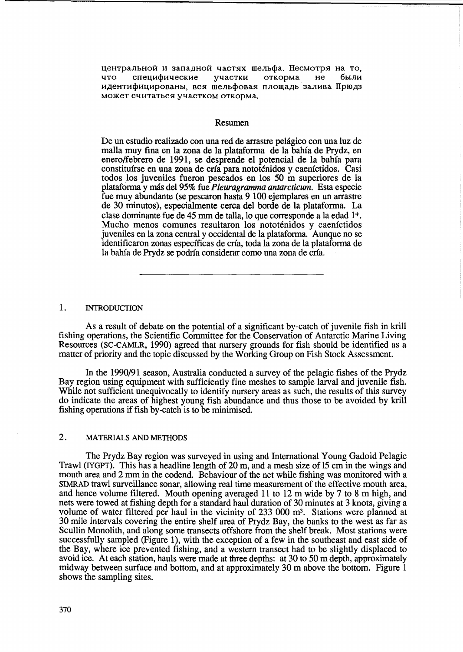центральной и западной частях шельфа. Несмотря на то, что специфические участки откорма не были идентифицированы, вся шельфовая площадь залива Прюдз может считаться участком откорма.

### Resumen

De un estudio realizado con una red de arrastre pelagico con una luz de malla muy fina en la zona de la plataforma de la bahia de Prydz, en enero/febrero de 1991, se desprende el potencial de la bahia para constituirse en una zona de cria para nototenidos y caenictidos. Casi todos los juveniles fueron pescados en los 50 m superiores de la plataforma y mas del 95% fue *Pleuragramma antarcticum.* Esta especie fue muy abundante (se pescaron hasta 9 100 ejemplares en un arrastre de 30 minutos), especialmente cerca del borde de la plataforma. La clase dominante fue de 45 mm de talia, 10 que corresponde a la edad 1+. Mucho menos comunes resultaron los nototenidos y caenictidos juveniles en la zona central y occidental de la plataforma. Aunque no se identificaron zonas especificas de cria, toda la zona de la plataforma de la bahia de Prydz se podria considerar como una zona de cria.

### 1. INTRODUCTION

As a result of debate on the potential of a significant by-catch of juvenile fish in krill fishing operations, the Scientific Committee for the Conservation of Antarctic Marine Living Resources (SC-CAMLR, 1990) agreed that nursery grounds for fish should be identified as a matter of priority and the topic discussed by the Working Group on Fish Stock Assessment.

In the 1990/91 season, Australia conducted a survey of the pelagic fishes of the Prydz Bay region using equipment with sufficiently fine meshes to sample larval and juvenile fish. While not sufficient unequivocally to identify nursery areas as such, the results of this survey do indicate the areas of highest young fish abundance and thus those to be avoided by krill fishing operations if fish by-catch is to be minimised.

# 2. MATERIALS AND METHODS

The Prydz Bay region was surveyed in using and International Young Gadoid Pelagic Trawl (IYGPT). This has a headline length of 20 m, and a mesh size of 15 cm in the wings and mouth area and 2 mm in the codend. Behaviour of the net while fishing was monitored with a SIMRAD trawl surveillance sonar, allowing real time measurement of the effective mouth area, and hence volume filtered. Mouth opening averaged 11 to 12 m wide by 7 to 8 m high, and nets were towed at fishing depth for a standard haul duration of 30 minutes at 3 knots, giving a volume of water filtered per haul in the vicinity of 233 000 m<sup>3</sup>. Stations were planned at 30 mile intervals covering the entire shelf area of Prydz Bay, the banks to the west as far as Scullin Monolith, and along some transects offshore from the shelf break. Most stations were successfully sampled (Figure 1), with the exception of a few in the southeast and east side of the Bay, where ice prevented fishing, and a western transect had to be slightly displaced to avoid ice. At each station, hauls were made at three depths: at 30 to 50 m depth, approximately midway between surface and bottom, and at approximately 30 m above the bottom. Figure 1 shows the sampling sites.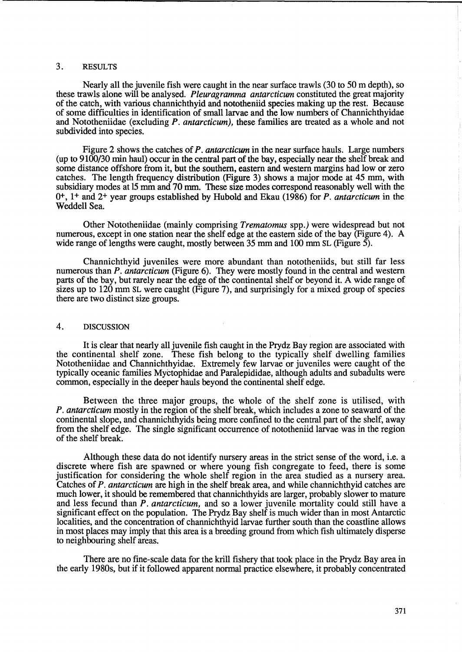## 3. RESULTS

Nearly all the juvenile fish were caught in the near surface trawls (30 to 50 m depth), so these trawls alone will be analysed. *Pleuragramma antarcticum* constituted the great majority of the catch, with various channichthyid and nototheniid species making up the rest. Because of some difficulties in identification of small larvae and the low numbers of Channichthyidae and Nototheniidae (excluding *P. antarcticum),* these families are treated as a whole and not subdivided into species.

Figure 2 shows the catches of *P. antarcticum* in the near surface hauls. Large numbers (up to 9100/30 min haul) occur in the central part of the bay, especially near the shelf break and some distance offshore from it, but the southern, eastern and western margins had low or zero catches. The length frequency distribution (Figure 3) shows a major mode at 45 mm, with subsidiary modes at 15 mm and 70 mm. These size modes correspond reasonably well with the 0+, 1+ and 2+ year groups established by Hubold and Ekau (1986) for *P. antarcticum* in the Weddell Sea.

Other Nototheniidae (mainly comprising *Trematomus* spp.) were widespread but not numerous, except in one station near the shelf edge at the eastern side of the bay (Figure 4). A wide range of lengths were caught, mostly between 35 mm and 100 mm SL (Figure 5).

Channichthyid juveniles were more abundant than nototheniids, but still far less numerous than *P. antarcticum* (Figure 6). They were mostly found in the central and western parts of the bay, but rarely near the edge of the continental shelf or beyond it. A wide range of sizes up to 120 mm SL were caught (Figure 7), and surprisingly for a mixed group of species there are two distinct size groups.

### 4. DISCUSSION

It is clear that nearly all juvenile fish caught in the Prydz Bay region are associated with the continental shelf zone. These fish belong to the typically shelf dwelling families These fish belong to the typically shelf dwelling families Nototheniidae and Channichthyidae. Extremely few larvae or juveniles were caught of the typically oceanic families Myctophidae and Paralepididae, although adults and subadults were common, especially in the deeper hauls beyond the continental shelf edge.

Between the three major groups, the whole of the shelf zone is utilised, with *P. antarcticum* mostly in the region of the shelf break, which includes a zone to seaward of the continental slope, and channichthyids being more confined to the central part of the shelf, away from the shelf edge. The single significant occurrence of nototheniid larvae was in the region of the shelf break.

Although these data do not identify nursery areas in the strict sense of the word, i.e. a discrete where fish are spawned or where young fish congregate to feed, there is some justification for considering the whole shelf region in the area studied as a nursery area. Catches of *P. antarcticum* are high in the shelf break area, and while channichthyid catches are much lower, it should be remembered that channichthyids are larger, probably slower to mature and less fecund than *P. antarcticum,* and so a lower juvenile mortality could still have a significant effect on the population. The Prydz Bay shelf is much wider than in most Antarctic localities, and the concentration of channichthyid larvae further south than the coastline allows in most places may imply that this area is a breeding ground from which fish ultimately disperse to neighbouring shelf areas.

There are no fine-scale data for the kriU fishery that took place in the Prydz Bay area in the early 1980s, but if it followed apparent normal practice elsewhere, it probably concentrated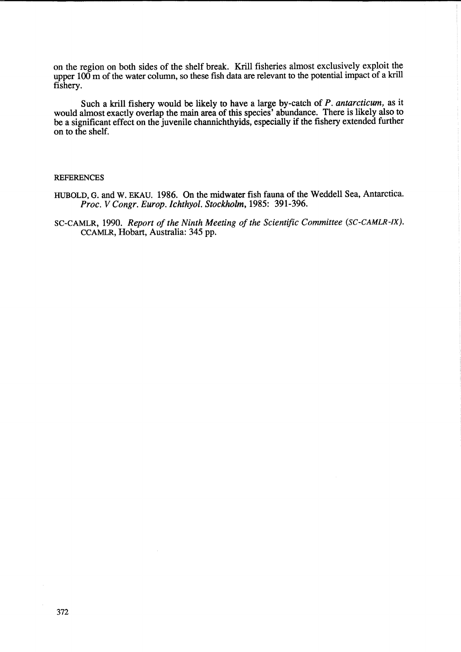on the region on both sides of the shelf break. KriU fisheries almost exclusively exploit the upper 100 m of the water column, so these fish data are relevant to the potential impact of a krill fishery.

Such a kriU fishery would be likely to have a large by-catch of *P. antarcticum,* as it would almost exactly overlap the main area of this species' abundance. There is likely also to be a significant effect on the juvenile channichthyids, especially if the fishery extended further on to the shelf.

# **REFERENCES**

- HUBOLD, G. and W. EKAU. 1986. On the midwater fish fauna of the Weddell Sea, Antarctica. *Proc. V Congr. Europ. Ichthyol. Stockholm,* 1985: 391-396.
- SC-CAMLR, 1990. *Report of the Ninth Meeting of the Scientific Committee (SC-CAMLR-IX).*  CCAMLR, Hobart, Australia: 345 pp.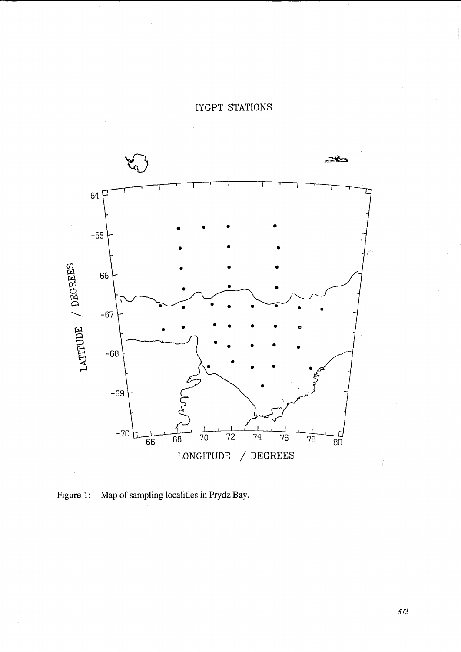

IYGPT STATIONS

Figure 1: Map of sampling localities in Prydz Bay.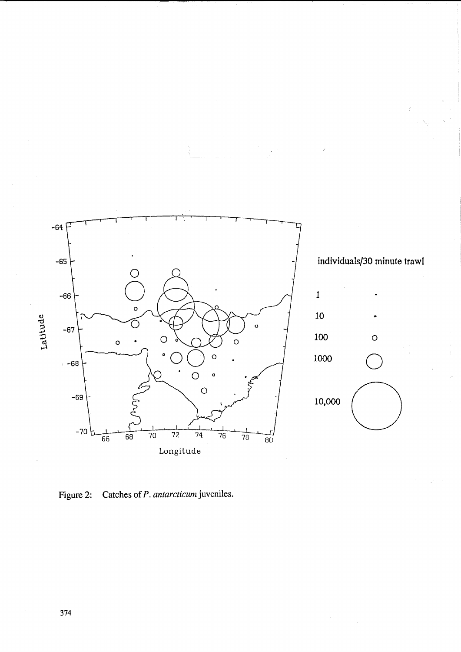

individuals/30 minute trawl



Catches of P. antarcticum juveniles. Figure 2: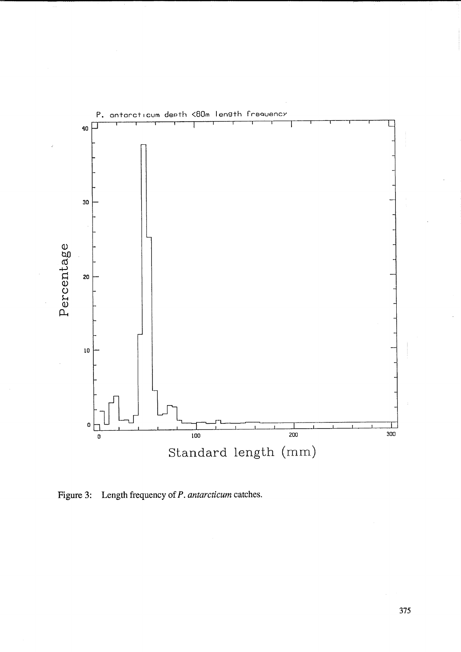

Figure 3: Length frequency of P. *antarcticum* catches.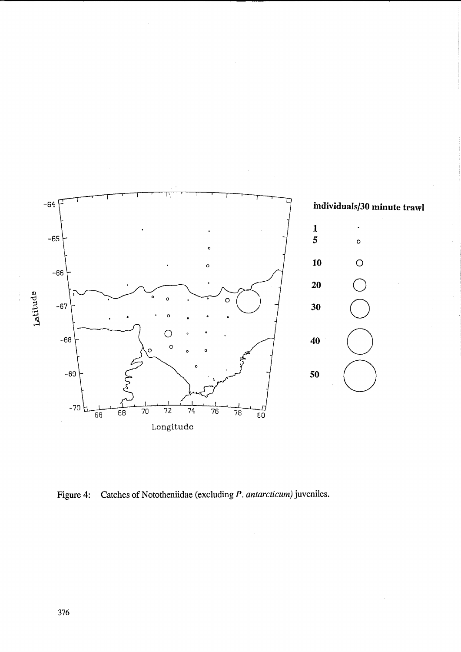

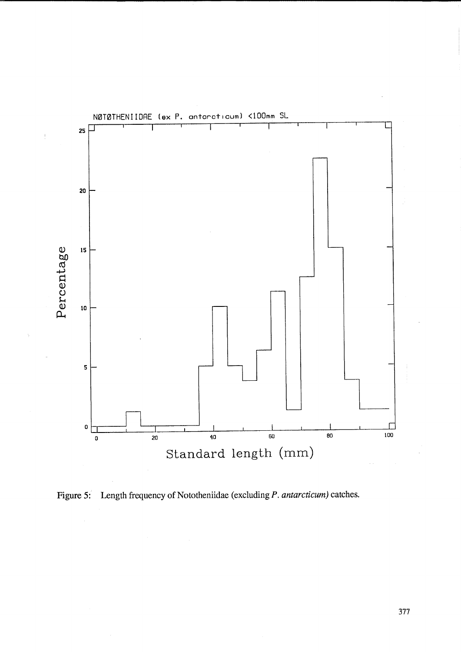

Figure 5: Length frequency of Nototheniidae (excluding *P. antarcticum)* catches.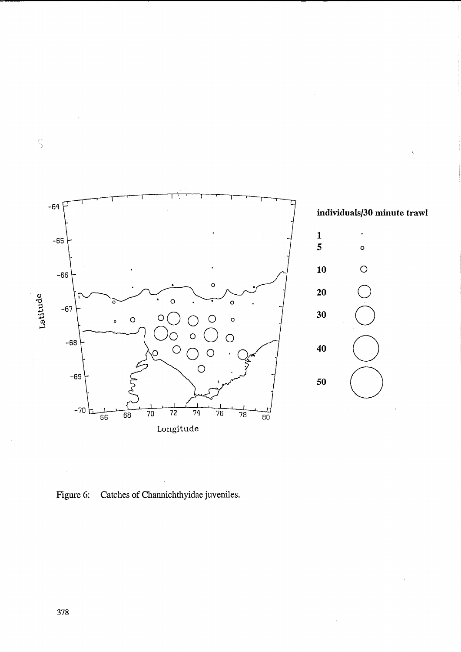

Figure 6: Catches of Channichthyidae juveniles.

378

 $\hat{\mathcal{S}}$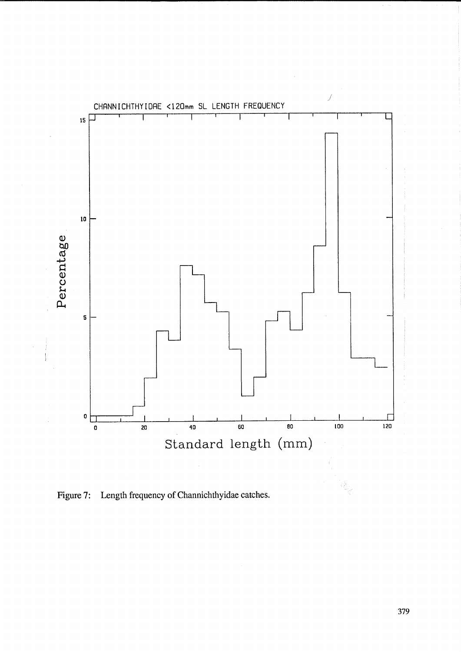

Figure 7: Length frequency of Channichthyidae catches.